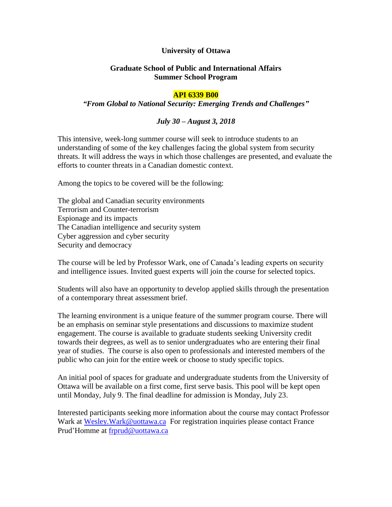# **University of Ottawa**

# **Graduate School of Public and International Affairs Summer School Program**

#### **API 6339 B00**

#### *"From Global to National Security: Emerging Trends and Challenges"*

# *July 30 – August 3, 2018*

This intensive, week-long summer course will seek to introduce students to an understanding of some of the key challenges facing the global system from security threats. It will address the ways in which those challenges are presented, and evaluate the efforts to counter threats in a Canadian domestic context.

Among the topics to be covered will be the following:

The global and Canadian security environments Terrorism and Counter-terrorism Espionage and its impacts The Canadian intelligence and security system Cyber aggression and cyber security Security and democracy

The course will be led by Professor Wark, one of Canada's leading experts on security and intelligence issues. Invited guest experts will join the course for selected topics.

Students will also have an opportunity to develop applied skills through the presentation of a contemporary threat assessment brief.

The learning environment is a unique feature of the summer program course. There will be an emphasis on seminar style presentations and discussions to maximize student engagement. The course is available to graduate students seeking University credit towards their degrees, as well as to senior undergraduates who are entering their final year of studies. The course is also open to professionals and interested members of the public who can join for the entire week or choose to study specific topics.

An initial pool of spaces for graduate and undergraduate students from the University of Ottawa will be available on a first come, first serve basis. This pool will be kept open until Monday, July 9. The final deadline for admission is Monday, July 23.

Interested participants seeking more information about the course may contact Professor Wark at Wesley. Wark@uottawa.ca For registration inquiries please contact France Prud'Homme at [frprud@uottawa.ca](mailto:frprud@uottawa.ca)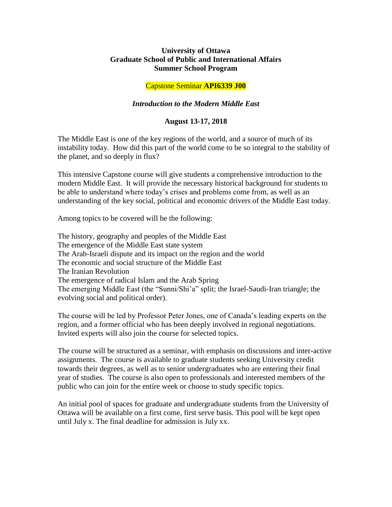# **University of Ottawa Graduate School of Public and International Affairs Summer School Program**

# Capstone Seminar **API6339 J00**

# *Introduction to the Modern Middle East*

# **August 13-17, 2018**

The Middle East is one of the key regions of the world, and a source of much of its instability today. How did this part of the world come to be so integral to the stability of the planet, and so deeply in flux?

This intensive Capstone course will give students a comprehensive introduction to the modern Middle East. It will provide the necessary historical background for students to be able to understand where today's crises and problems come from, as well as an understanding of the key social, political and economic drivers of the Middle East today.

Among topics to be covered will be the following:

The history, geography and peoples of the Middle East The emergence of the Middle East state system The Arab-Israeli dispute and its impact on the region and the world The economic and social structure of the Middle East The Iranian Revolution The emergence of radical Islam and the Arab Spring The emerging Middle East (the "Sunni/Shi'a" split; the Israel-Saudi-Iran triangle; the evolving social and political order).

The course will be led by Professor Peter Jones, one of Canada's leading experts on the region, and a former official who has been deeply involved in regional negotiations. Invited experts will also join the course for selected topics.

The course will be structured as a seminar, with emphasis on discussions and inter-active assignments. The course is available to graduate students seeking University credit towards their degrees, as well as to senior undergraduates who are entering their final year of studies. The course is also open to professionals and interested members of the public who can join for the entire week or choose to study specific topics.

An initial pool of spaces for graduate and undergraduate students from the University of Ottawa will be available on a first come, first serve basis. This pool will be kept open until July x. The final deadline for admission is July xx.